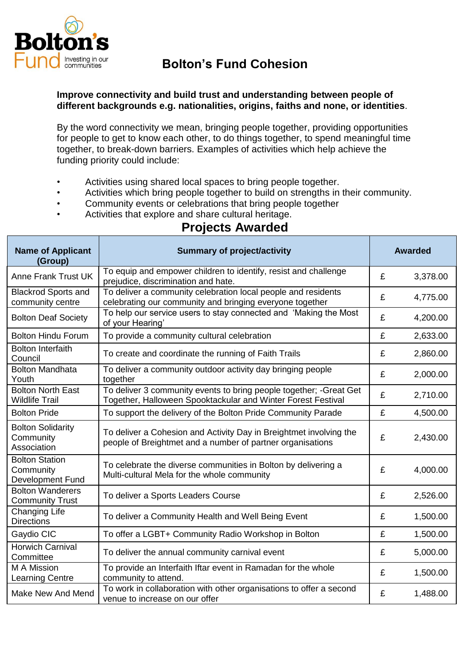

## **Bolton's Fund Cohesion**

## **Improve connectivity and build trust and understanding between people of different backgrounds e.g. nationalities, origins, faiths and none, or identities**.

By the word connectivity we mean, bringing people together, providing opportunities for people to get to know each other, to do things together, to spend meaningful time together, to break-down barriers. Examples of activities which help achieve the funding priority could include:

- Activities using shared local spaces to bring people together.
- Activities which bring people together to build on strengths in their community.
- Community events or celebrations that bring people together
- Activities that explore and share cultural heritage.

## **Projects Awarded**

| <b>Name of Applicant</b><br>(Group)                    | <b>Summary of project/activity</b>                                                                                                  | <b>Awarded</b> |          |
|--------------------------------------------------------|-------------------------------------------------------------------------------------------------------------------------------------|----------------|----------|
| <b>Anne Frank Trust UK</b>                             | To equip and empower children to identify, resist and challenge<br>prejudice, discrimination and hate.                              | £              | 3,378.00 |
| <b>Blackrod Sports and</b><br>community centre         | To deliver a community celebration local people and residents<br>celebrating our community and bringing everyone together           | £              | 4,775.00 |
| <b>Bolton Deaf Society</b>                             | To help our service users to stay connected and 'Making the Most<br>of your Hearing'                                                | £              | 4,200.00 |
| <b>Bolton Hindu Forum</b>                              | To provide a community cultural celebration                                                                                         | £              | 2,633.00 |
| <b>Bolton Interfaith</b><br>Council                    | To create and coordinate the running of Faith Trails                                                                                | £              | 2,860.00 |
| <b>Bolton Mandhata</b><br>Youth                        | To deliver a community outdoor activity day bringing people<br>together                                                             | £              | 2,000.00 |
| <b>Bolton North East</b><br><b>Wildlife Trail</b>      | To deliver 3 community events to bring people together; - Great Get<br>Together, Halloween Spooktackular and Winter Forest Festival | £              | 2,710.00 |
| <b>Bolton Pride</b>                                    | To support the delivery of the Bolton Pride Community Parade                                                                        | £              | 4,500.00 |
| <b>Bolton Solidarity</b><br>Community<br>Association   | To deliver a Cohesion and Activity Day in Breightmet involving the<br>people of Breightmet and a number of partner organisations    | £              | 2,430.00 |
| <b>Bolton Station</b><br>Community<br>Development Fund | To celebrate the diverse communities in Bolton by delivering a<br>Multi-cultural Mela for the whole community                       | £              | 4,000.00 |
| <b>Bolton Wanderers</b><br><b>Community Trust</b>      | To deliver a Sports Leaders Course                                                                                                  | £              | 2,526.00 |
| <b>Changing Life</b><br><b>Directions</b>              | To deliver a Community Health and Well Being Event                                                                                  | £              | 1,500.00 |
| Gaydio CIC                                             | To offer a LGBT+ Community Radio Workshop in Bolton                                                                                 | £              | 1,500.00 |
| <b>Horwich Carnival</b><br>Committee                   | To deliver the annual community carnival event                                                                                      | £              | 5,000.00 |
| M A Mission<br><b>Learning Centre</b>                  | To provide an Interfaith Iftar event in Ramadan for the whole<br>community to attend.                                               | £              | 1,500.00 |
| Make New And Mend                                      | To work in collaboration with other organisations to offer a second<br>venue to increase on our offer                               | £              | 1,488.00 |